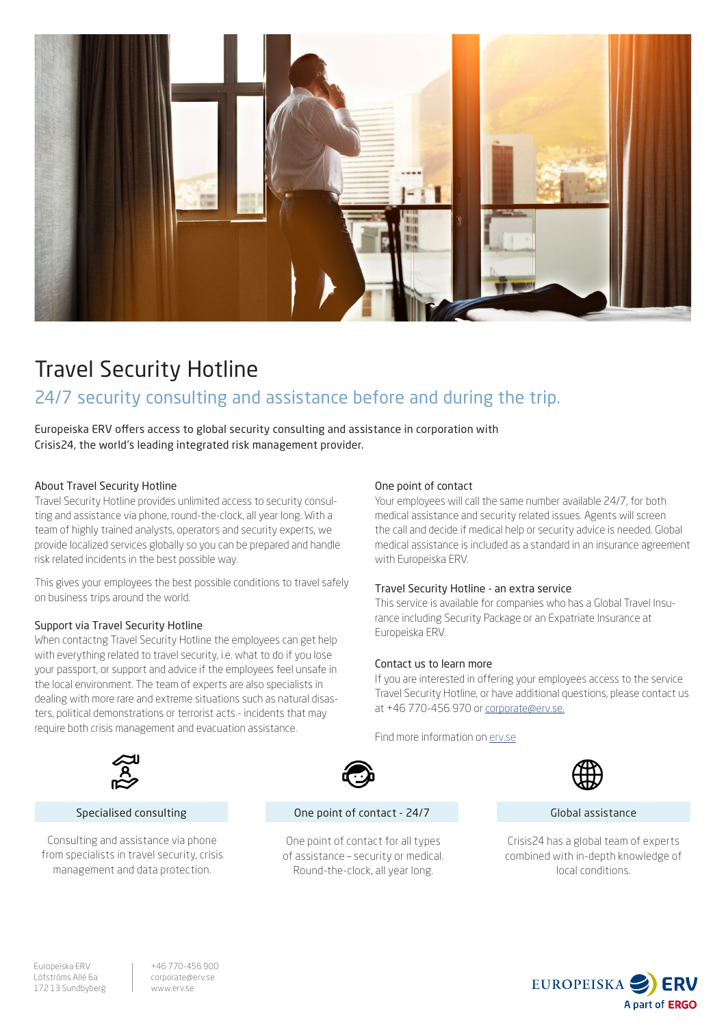

# Travel Security Hotline

## 24/7 security consulting and assistance before and during the trip.

Europeiska ERV offers access to global security consulting and assistance in corporation with Crisis24, the world's leading integrated risk management provider.

### About Travel Security Hotline

Travel Security Hotline provides unlimited access to security consulting and assistance via phone, round-the-clock, all year long. With a team of highly trained analysts, operators and security experts, we provide localized services globally so you can be prepared and handle risk related incidents in the best possible way.

This gives your employees the best possible conditions to travel safely on business trips around the world.

### Support via Travel Security Hotline

When contactng Travel Security Hotline the employees can get help with everything related to travel security, i.e. what to do if you lose your passport, or support and advice if the employees feel unsafe in the local environment. The team of experts are also specialists in dealing with more rare and extreme situations such as natural disasters, political demonstrations or terrorist acts - incidents that may require both crisis management and evacuation assistance.

### One point of contact

Your employees will call the same number available 24/7, for both medical assistance and security related issues. Agents will screen the call and decide if medical help or security advice is needed. Global medical assistance is included as a standard in an insurance agreement with Europeiska ERV.

### Travel Security Hotline - an extra service

This service is available for companies who has a Global Travel Insurance including Security Package or an Expatriate Insurance at Europeiska ERV.

### Contact us to learn more

If you are interested in offering your employees access to the service Travel Security Hotline, or have additional questions, please contact us at +46 770-456 970 or corporate@erv.se.

Find more information on erv.se



Crisis24 has a global team of experts combined with in-depth knowledge of local conditions.



### Specialised consulting

Consulting and assistance via phone from specialists in travel security, crisis management and data protection.



### One point of contact - 24/7 Global assistance

One point of contact for all types of assistance – security or medical. Round-the-clock, all year long.



+46 770-456 900 corporate@erv.se www.erv.se